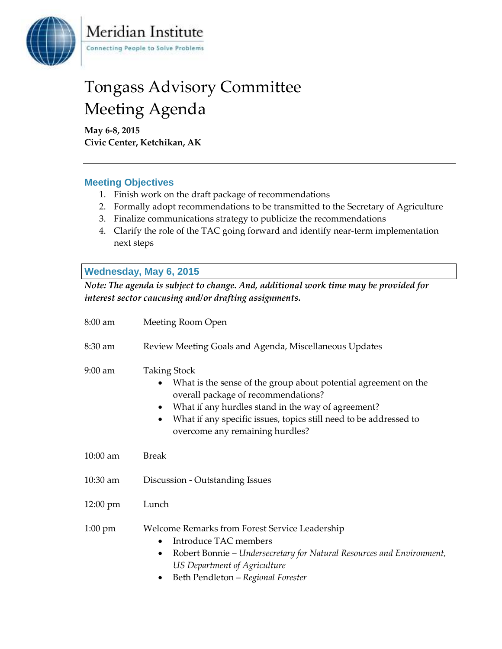

## Tongass Advisory Committee Meeting Agenda

**May 6-8, 2015 Civic Center, Ketchikan, AK**

Meridian Institute

Connecting People to Solve Problems

## **Meeting Objectives**

- 1. Finish work on the draft package of recommendations
- 2. Formally adopt recommendations to be transmitted to the Secretary of Agriculture
- 3. Finalize communications strategy to publicize the recommendations
- 4. Clarify the role of the TAC going forward and identify near-term implementation next steps

## **Wednesday, May 6, 2015**

*Note: The agenda is subject to change. And, additional work time may be provided for interest sector caucusing and/or drafting assignments.*

| 8:00 am           | Meeting Room Open                                                                                                                                                                                                                                                                                             |
|-------------------|---------------------------------------------------------------------------------------------------------------------------------------------------------------------------------------------------------------------------------------------------------------------------------------------------------------|
| 8:30 am           | Review Meeting Goals and Agenda, Miscellaneous Updates                                                                                                                                                                                                                                                        |
| $9:00$ am         | <b>Taking Stock</b><br>What is the sense of the group about potential agreement on the<br>overall package of recommendations?<br>What if any hurdles stand in the way of agreement?<br>$\bullet$<br>What if any specific issues, topics still need to be addressed to<br>٠<br>overcome any remaining hurdles? |
| 10:00 am          | <b>Break</b>                                                                                                                                                                                                                                                                                                  |
| $10:30$ am        | Discussion - Outstanding Issues                                                                                                                                                                                                                                                                               |
| 12:00 pm          | Lunch                                                                                                                                                                                                                                                                                                         |
| $1:00 \text{ pm}$ | Welcome Remarks from Forest Service Leadership<br>Introduce TAC members<br>Robert Bonnie – Undersecretary for Natural Resources and Environment,<br>$\bullet$<br>US Department of Agriculture<br>Beth Pendleton - Regional Forester                                                                           |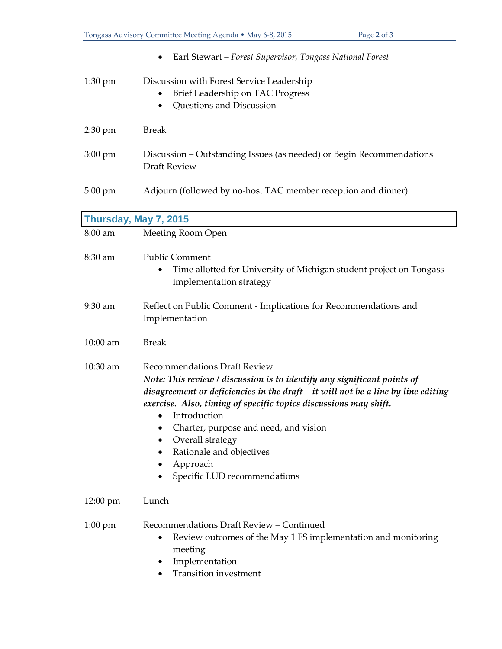|                       | Earl Stewart - Forest Supervisor, Tongass National Forest                                                                                                                                                                                                                                                                                                                                                                           |
|-----------------------|-------------------------------------------------------------------------------------------------------------------------------------------------------------------------------------------------------------------------------------------------------------------------------------------------------------------------------------------------------------------------------------------------------------------------------------|
| $1:30$ pm             | Discussion with Forest Service Leadership<br>Brief Leadership on TAC Progress<br>Questions and Discussion                                                                                                                                                                                                                                                                                                                           |
| $2:30$ pm             | <b>Break</b>                                                                                                                                                                                                                                                                                                                                                                                                                        |
| $3:00 \text{ pm}$     | Discussion – Outstanding Issues (as needed) or Begin Recommendations<br><b>Draft Review</b>                                                                                                                                                                                                                                                                                                                                         |
| 5:00 pm               | Adjourn (followed by no-host TAC member reception and dinner)                                                                                                                                                                                                                                                                                                                                                                       |
| Thursday, May 7, 2015 |                                                                                                                                                                                                                                                                                                                                                                                                                                     |
| 8:00 am               | Meeting Room Open                                                                                                                                                                                                                                                                                                                                                                                                                   |
| 8:30 am               | <b>Public Comment</b><br>Time allotted for University of Michigan student project on Tongass<br>٠<br>implementation strategy                                                                                                                                                                                                                                                                                                        |
| 9:30 am               | Reflect on Public Comment - Implications for Recommendations and<br>Implementation                                                                                                                                                                                                                                                                                                                                                  |
| 10:00 am              | <b>Break</b>                                                                                                                                                                                                                                                                                                                                                                                                                        |
| 10:30 am              | <b>Recommendations Draft Review</b><br>Note: This review / discussion is to identify any significant points of<br>disagreement or deficiencies in the draft $-$ it will not be a line by line editing<br>exercise. Also, timing of specific topics discussions may shift.<br>Introduction<br>Charter, purpose and need, and vision<br>Overall strategy<br>Rationale and objectives<br>٠<br>Approach<br>Specific LUD recommendations |
| 12:00 pm              | Lunch                                                                                                                                                                                                                                                                                                                                                                                                                               |
| $1:00 \text{ pm}$     | Recommendations Draft Review - Continued<br>Review outcomes of the May 1 FS implementation and monitoring<br>meeting<br>Implementation<br><b>Transition</b> investment                                                                                                                                                                                                                                                              |

Tongass Advisory Committee Meeting Agenda • May 6-8, 2015 Page **2** of **3**